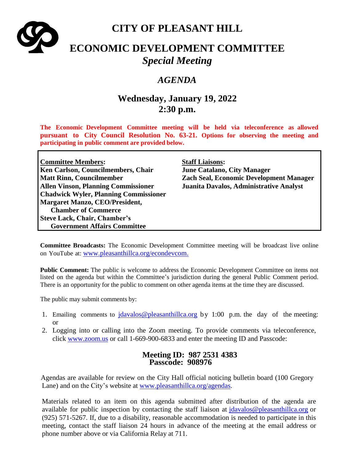

# **CITY OF PLEASANT HILL**

# **ECONOMIC DEVELOPMENT COMMITTEE** *Special Meeting*

## *AGENDA*

# **Wednesday, January 19, 2022 2:30 p.m.**

**The Economic Development Committee meeting will be held via teleconference as allowed pursuant to City Council Resolution No. 63-21. Options for observing the meeting and participating in public comment are provided below.**

| <b>Committee Members:</b>                    | <b>Staff Liaisons:</b>                         |
|----------------------------------------------|------------------------------------------------|
| Ken Carlson, Councilmembers, Chair           | <b>June Catalano, City Manager</b>             |
| <b>Matt Rinn, Councilmember</b>              | <b>Zach Seal, Economic Development Manager</b> |
| <b>Allen Vinson, Planning Commissioner</b>   | Juanita Davalos, Administrative Analyst        |
| <b>Chadwick Wyler, Planning Commissioner</b> |                                                |
| <b>Margaret Manzo, CEO/President,</b>        |                                                |
| <b>Chamber of Commerce</b>                   |                                                |
| <b>Steve Lack, Chair, Chamber's</b>          |                                                |
| <b>Government Affairs Committee</b>          |                                                |

**Committee Broadcasts:** The Economic Development Committee meeting will be broadcast live online on YouTube at: [www.pleasanthillca.org/econdevcom.](http://www.pleasanthillca.org/econdevcom)

**Public Comment:** The public is welcome to address the Economic Development Committee on items not listed on the agenda but within the Committee's jurisdiction during the general Public Comment period. There is an opportunity for the public to comment on other agenda items at the time they are discussed.

The public may submit comments by:

- 1. Emailing comments to  $\frac{\partial^2 u}{\partial x \partial y}$  is determinible to  $\frac{\partial^2 u}{\partial y^2}$  by 1:00 p.m. the day of the meeting: or
- 2. Logging into or calling into the Zoom meeting. To provide comments via teleconference, click [www.zoom.us](http://www.zoom.us/) or call 1-669-900-6833 and enter the meeting ID and Passcode:

### **Meeting ID: 987 2531 4383 Passcode: 908976**

Agendas are available for review on the City Hall official noticing bulletin board (100 Gregory Lane) and on the City's website at [www.pleasanthillca.org/agendas.](http://www.pleasanthillca.org/agendas)

Materials related to an item on this agenda submitted after distribution of the agenda are available for public inspection by contacting the staff liaison at [jdavalos@pleasanthillca.org](mailto:jdavalos@pleasanthillca.org) or (925) 571-5267. If, due to a disability, reasonable accommodation is needed to participate in this meeting, contact the staff liaison 24 hours in advance of the meeting at the email address or phone number above or via California Relay at 711.